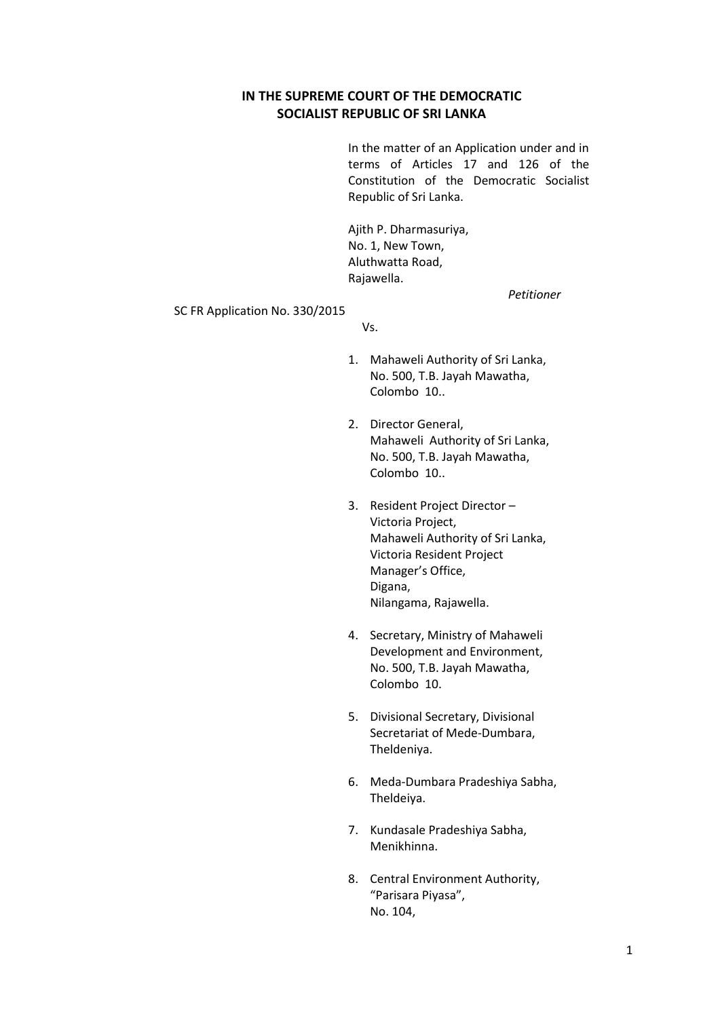## **IN THE SUPREME COURT OF THE DEMOCRATIC SOCIALIST REPUBLIC OF SRI LANKA**

In the matter of an Application under and in terms of Articles 17 and 126 of the Constitution of the Democratic Socialist Republic of Sri Lanka.

Ajith P. Dharmasuriya, No. 1, New Town, Aluthwatta Road, Rajawella.

*Petitioner*

SC FR Application No. 330/2015

Vs.

- 1. Mahaweli Authority of Sri Lanka, No. 500, T.B. Jayah Mawatha, Colombo 10..
- 2. Director General, Mahaweli Authority of Sri Lanka, No. 500, T.B. Jayah Mawatha, Colombo 10..
- 3. Resident Project Director Victoria Project, Mahaweli Authority of Sri Lanka, Victoria Resident Project Manager's Office, Digana, Nilangama, Rajawella.
- 4. Secretary, Ministry of Mahaweli Development and Environment, No. 500, T.B. Jayah Mawatha, Colombo 10.
- 5. Divisional Secretary, Divisional Secretariat of Mede-Dumbara, Theldeniya.
- 6. Meda-Dumbara Pradeshiya Sabha, Theldeiya.
- 7. Kundasale Pradeshiya Sabha, Menikhinna.
- 8. Central Environment Authority, "Parisara Piyasa", No. 104,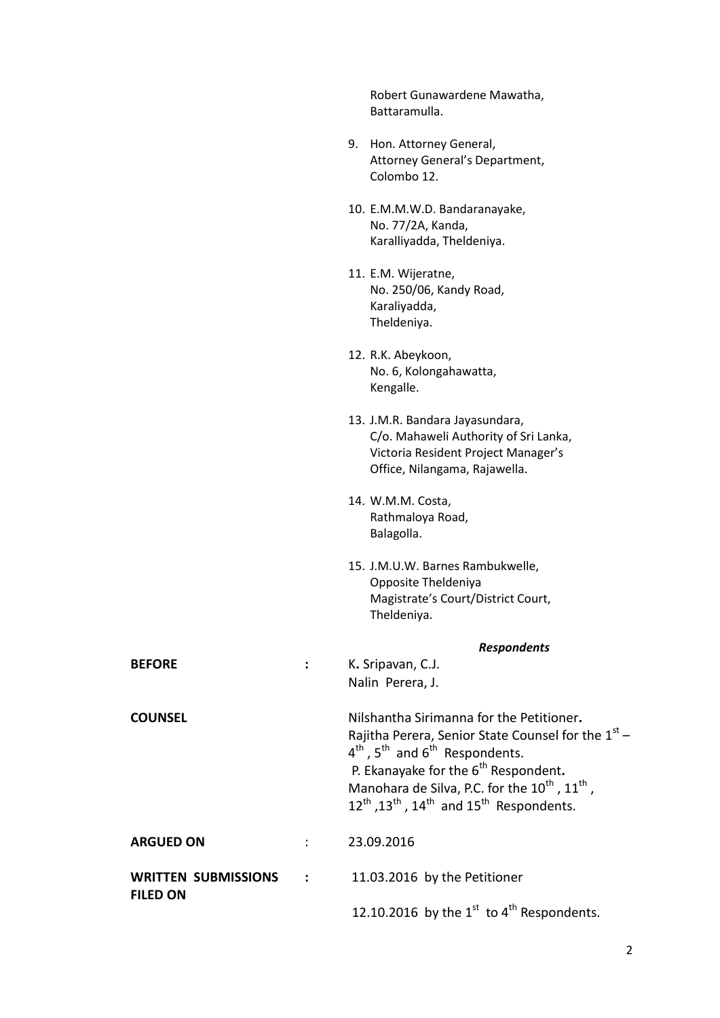|                            |                | Robert Gunawardene Mawatha,<br>Battaramulla.                                                                                                                                                                                                                                                                                                                                      |
|----------------------------|----------------|-----------------------------------------------------------------------------------------------------------------------------------------------------------------------------------------------------------------------------------------------------------------------------------------------------------------------------------------------------------------------------------|
|                            |                | 9. Hon. Attorney General,<br>Attorney General's Department,<br>Colombo 12.                                                                                                                                                                                                                                                                                                        |
|                            |                | 10. E.M.M.W.D. Bandaranayake,<br>No. 77/2A, Kanda,<br>Karalliyadda, Theldeniya.                                                                                                                                                                                                                                                                                                   |
|                            |                | 11. E.M. Wijeratne,<br>No. 250/06, Kandy Road,<br>Karaliyadda,<br>Theldeniya.                                                                                                                                                                                                                                                                                                     |
|                            |                | 12. R.K. Abeykoon,<br>No. 6, Kolongahawatta,<br>Kengalle.                                                                                                                                                                                                                                                                                                                         |
|                            |                | 13. J.M.R. Bandara Jayasundara,<br>C/o. Mahaweli Authority of Sri Lanka,<br>Victoria Resident Project Manager's<br>Office, Nilangama, Rajawella.                                                                                                                                                                                                                                  |
|                            |                | 14. W.M.M. Costa,<br>Rathmaloya Road,<br>Balagolla.                                                                                                                                                                                                                                                                                                                               |
|                            |                | 15. J.M.U.W. Barnes Rambukwelle,<br>Opposite Theldeniya<br>Magistrate's Court/District Court,<br>Theldeniya.                                                                                                                                                                                                                                                                      |
|                            |                | <b>Respondents</b>                                                                                                                                                                                                                                                                                                                                                                |
| <b>BEFORE</b>              | $\ddot{\cdot}$ | K. Sripavan, C.J.<br>Nalin Perera, J.                                                                                                                                                                                                                                                                                                                                             |
| <b>COUNSEL</b>             |                | Nilshantha Sirimanna for the Petitioner.<br>Rajitha Perera, Senior State Counsel for the $1st$ –<br>$4^{th}$ , 5 <sup>th</sup> and $6^{th}$ Respondents.<br>P. Ekanayake for the 6 <sup>th</sup> Respondent.<br>Manohara de Silva, P.C. for the 10 <sup>th</sup> , 11 <sup>th</sup> ,<br>$12^{\text{th}}$ , $13^{\text{th}}$ , $14^{\text{th}}$ and $15^{\text{th}}$ Respondents. |
| <b>ARGUED ON</b>           |                | 23.09.2016                                                                                                                                                                                                                                                                                                                                                                        |
| <b>WRITTEN SUBMISSIONS</b> |                | 11.03.2016 by the Petitioner                                                                                                                                                                                                                                                                                                                                                      |
| <b>FILED ON</b>            |                | 12.10.2016 by the $1st$ to $4th$ Respondents.                                                                                                                                                                                                                                                                                                                                     |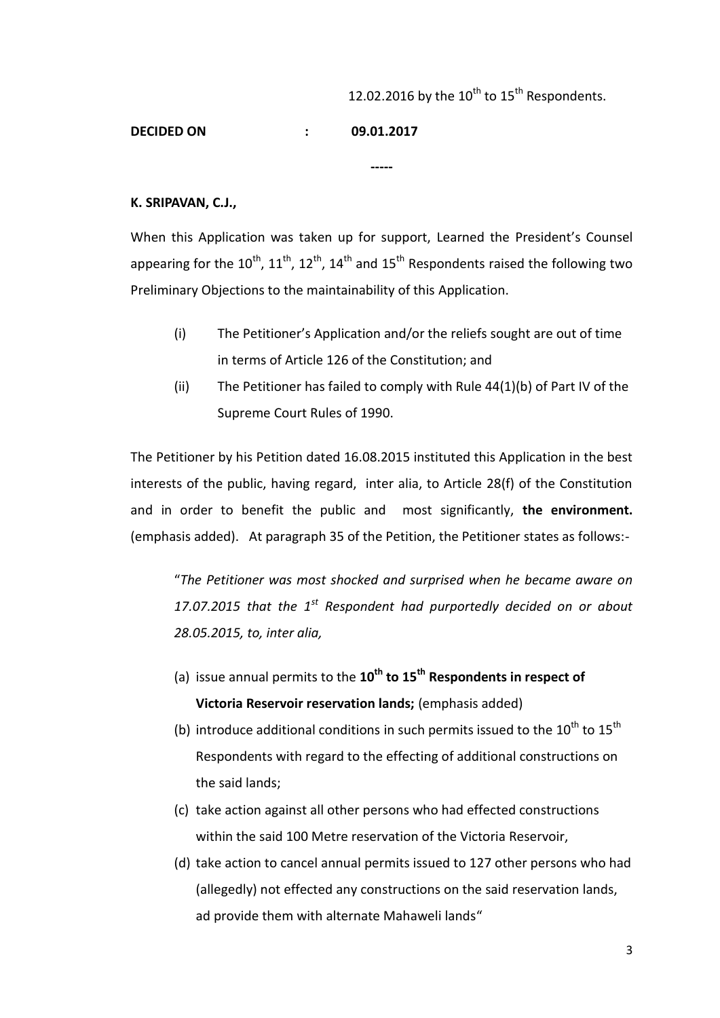## 12.02.2016 by the  $10^{th}$  to  $15^{th}$  Respondents.

**DECIDED ON : 09.01.2017**

## **K. SRIPAVAN, C.J.,**

When this Application was taken up for support, Learned the President's Counsel appearing for the  $10^{th}$ ,  $11^{th}$ ,  $12^{th}$ ,  $14^{th}$  and  $15^{th}$  Respondents raised the following two Preliminary Objections to the maintainability of this Application.

**-----**

- (i) The Petitioner's Application and/or the reliefs sought are out of time in terms of Article 126 of the Constitution; and
- (ii) The Petitioner has failed to comply with Rule  $44(1)(b)$  of Part IV of the Supreme Court Rules of 1990.

The Petitioner by his Petition dated 16.08.2015 instituted this Application in the best interests of the public, having regard, inter alia, to Article 28(f) of the Constitution and in order to benefit the public and most significantly, **the environment.** (emphasis added).At paragraph 35 of the Petition, the Petitioner states as follows:-

"*The Petitioner was most shocked and surprised when he became aware on 17.07.2015 that the 1st Respondent had purportedly decided on or about 28.05.2015, to, inter alia,* 

- (a) issue annual permits to the **10th to 15th Respondents in respect of Victoria Reservoir reservation lands;** (emphasis added)
- (b) introduce additional conditions in such permits issued to the  $10^{th}$  to  $15^{th}$ Respondents with regard to the effecting of additional constructions on the said lands;
- (c) take action against all other persons who had effected constructions within the said 100 Metre reservation of the Victoria Reservoir,
- (d) take action to cancel annual permits issued to 127 other persons who had (allegedly) not effected any constructions on the said reservation lands, ad provide them with alternate Mahaweli lands"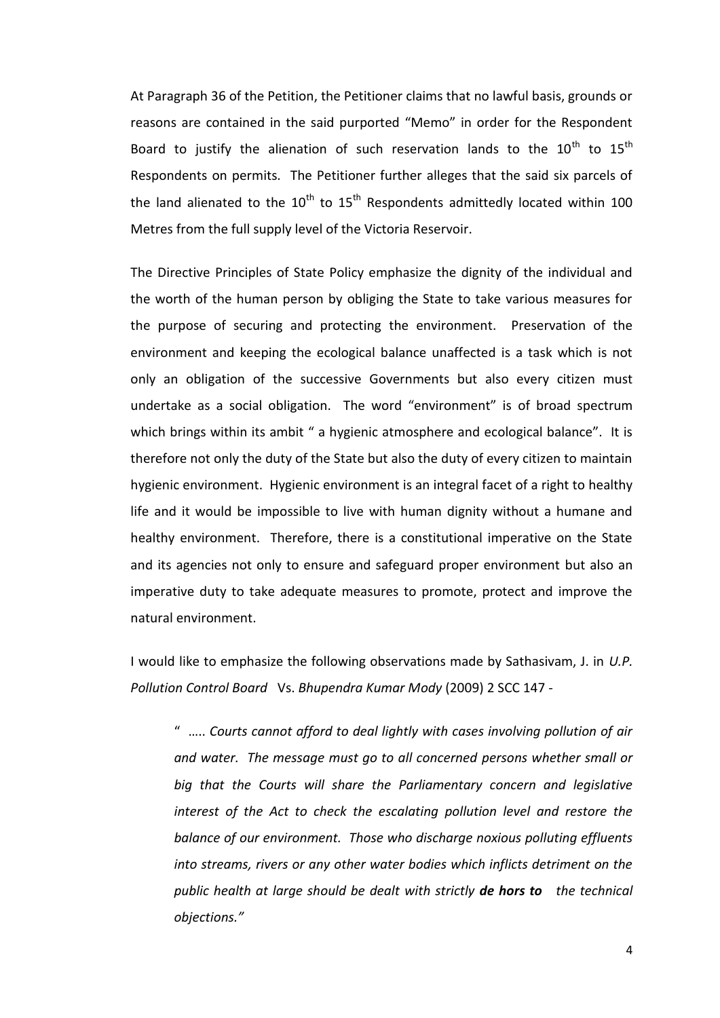At Paragraph 36 of the Petition, the Petitioner claims that no lawful basis, grounds or reasons are contained in the said purported "Memo" in order for the Respondent Board to justify the alienation of such reservation lands to the  $10^{th}$  to  $15^{th}$ Respondents on permits. The Petitioner further alleges that the said six parcels of the land alienated to the  $10^{th}$  to  $15^{th}$  Respondents admittedly located within 100 Metres from the full supply level of the Victoria Reservoir.

The Directive Principles of State Policy emphasize the dignity of the individual and the worth of the human person by obliging the State to take various measures for the purpose of securing and protecting the environment. Preservation of the environment and keeping the ecological balance unaffected is a task which is not only an obligation of the successive Governments but also every citizen must undertake as a social obligation. The word "environment" is of broad spectrum which brings within its ambit " a hygienic atmosphere and ecological balance". It is therefore not only the duty of the State but also the duty of every citizen to maintain hygienic environment. Hygienic environment is an integral facet of a right to healthy life and it would be impossible to live with human dignity without a humane and healthy environment. Therefore, there is a constitutional imperative on the State and its agencies not only to ensure and safeguard proper environment but also an imperative duty to take adequate measures to promote, protect and improve the natural environment.

I would like to emphasize the following observations made by Sathasivam, J. in *U.P. Pollution Control Board* Vs. *Bhupendra Kumar Mody* (2009) 2 SCC 147 -

" ….. *Courts cannot afford to deal lightly with cases involving pollution of air and water. The message must go to all concerned persons whether small or big that the Courts will share the Parliamentary concern and legislative interest of the Act to check the escalating pollution level and restore the balance of our environment. Those who discharge noxious polluting effluents into streams, rivers or any other water bodies which inflicts detriment on the public health at large should be dealt with strictly de hors to the technical objections."*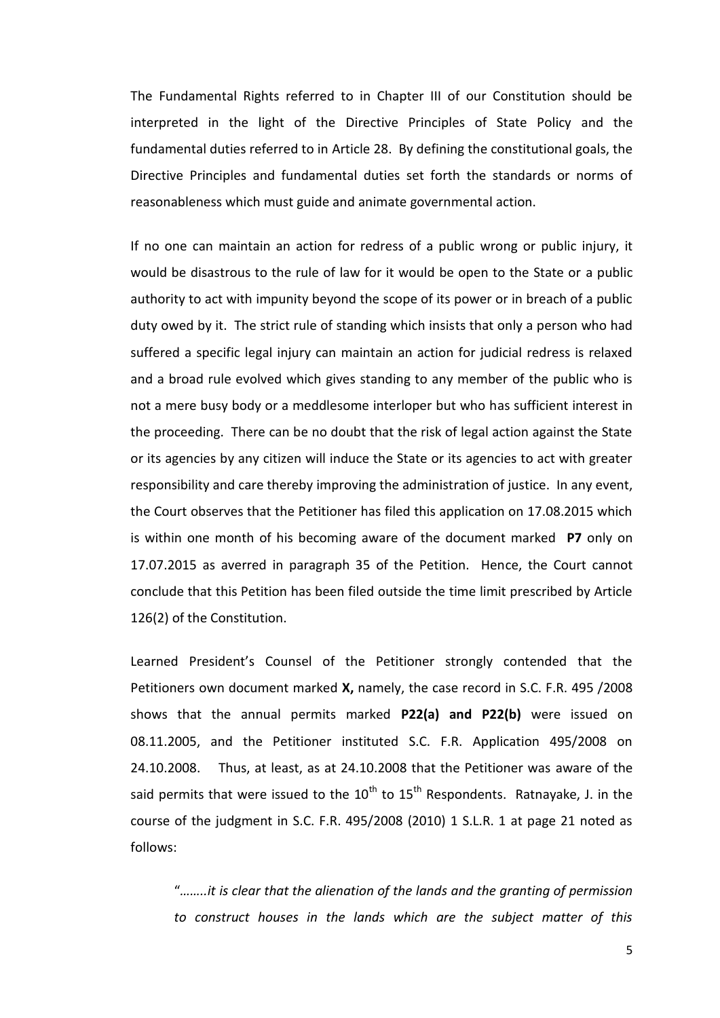The Fundamental Rights referred to in Chapter III of our Constitution should be interpreted in the light of the Directive Principles of State Policy and the fundamental duties referred to in Article 28. By defining the constitutional goals, the Directive Principles and fundamental duties set forth the standards or norms of reasonableness which must guide and animate governmental action.

If no one can maintain an action for redress of a public wrong or public injury, it would be disastrous to the rule of law for it would be open to the State or a public authority to act with impunity beyond the scope of its power or in breach of a public duty owed by it. The strict rule of standing which insists that only a person who had suffered a specific legal injury can maintain an action for judicial redress is relaxed and a broad rule evolved which gives standing to any member of the public who is not a mere busy body or a meddlesome interloper but who has sufficient interest in the proceeding. There can be no doubt that the risk of legal action against the State or its agencies by any citizen will induce the State or its agencies to act with greater responsibility and care thereby improving the administration of justice. In any event, the Court observes that the Petitioner has filed this application on 17.08.2015 which is within one month of his becoming aware of the document marked **P7** only on 17.07.2015 as averred in paragraph 35 of the Petition. Hence, the Court cannot conclude that this Petition has been filed outside the time limit prescribed by Article 126(2) of the Constitution.

Learned President's Counsel of the Petitioner strongly contended that the Petitioners own document marked **X,** namely, the case record in S.C. F.R. 495 /2008 shows that the annual permits marked **P22(a) and P22(b)** were issued on 08.11.2005, and the Petitioner instituted S.C. F.R. Application 495/2008 on 24.10.2008.Thus, at least, as at 24.10.2008 that the Petitioner was aware of the said permits that were issued to the  $10^{th}$  to  $15^{th}$  Respondents. Ratnayake, J. in the course of the judgment in S.C. F.R. 495/2008 (2010) 1 S.L.R. 1 at page 21 noted as follows:

"*……..it is clear that the alienation of the lands and the granting of permission to construct houses in the lands which are the subject matter of this*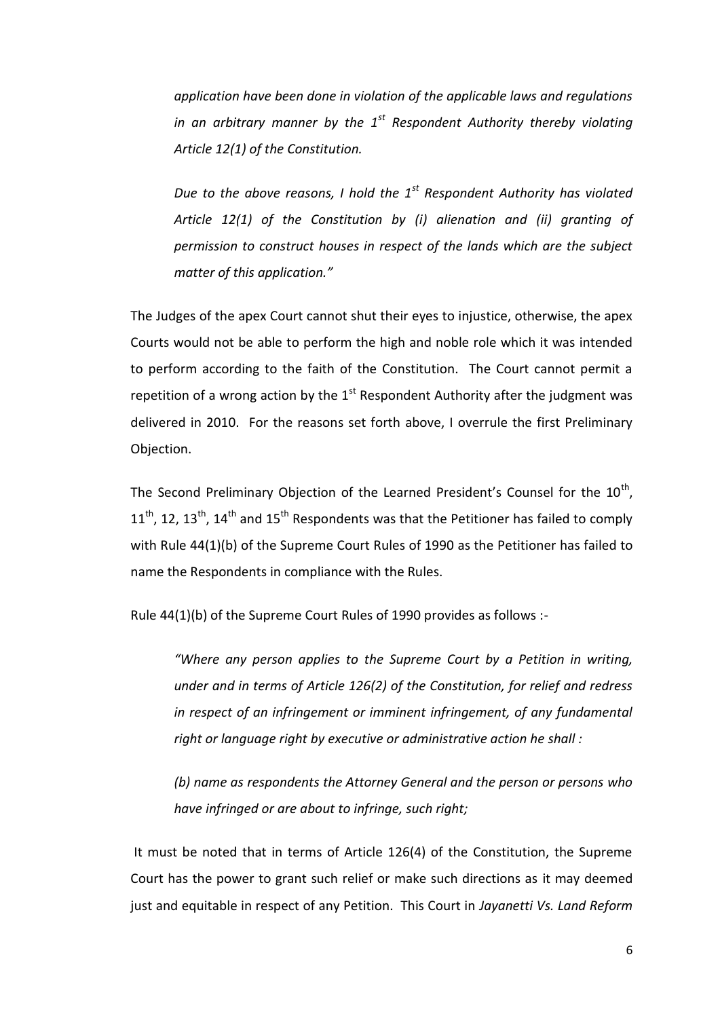*application have been done in violation of the applicable laws and regulations in an arbitrary manner by the 1st Respondent Authority thereby violating Article 12(1) of the Constitution.* 

*Due to the above reasons, I hold the 1st Respondent Authority has violated Article 12(1) of the Constitution by (i) alienation and (ii) granting of permission to construct houses in respect of the lands which are the subject matter of this application."* 

The Judges of the apex Court cannot shut their eyes to injustice, otherwise, the apex Courts would not be able to perform the high and noble role which it was intended to perform according to the faith of the Constitution. The Court cannot permit a repetition of a wrong action by the  $1<sup>st</sup>$  Respondent Authority after the judgment was delivered in 2010. For the reasons set forth above, I overrule the first Preliminary Objection.

The Second Preliminary Objection of the Learned President's Counsel for the  $10^{\text{th}}$ ,  $11<sup>th</sup>$ , 12, 13<sup>th</sup>, 14<sup>th</sup> and 15<sup>th</sup> Respondents was that the Petitioner has failed to comply with Rule 44(1)(b) of the Supreme Court Rules of 1990 as the Petitioner has failed to name the Respondents in compliance with the Rules.

Rule 44(1)(b) of the Supreme Court Rules of 1990 provides as follows :-

*"Where any person applies to the Supreme Court by a Petition in writing, under and in terms of Article 126(2) of the Constitution, for relief and redress in respect of an infringement or imminent infringement, of any fundamental right or language right by executive or administrative action he shall :*

*(b) name as respondents the Attorney General and the person or persons who have infringed or are about to infringe, such right;*

It must be noted that in terms of Article 126(4) of the Constitution, the Supreme Court has the power to grant such relief or make such directions as it may deemed just and equitable in respect of any Petition. This Court in *Jayanetti Vs. Land Reform*